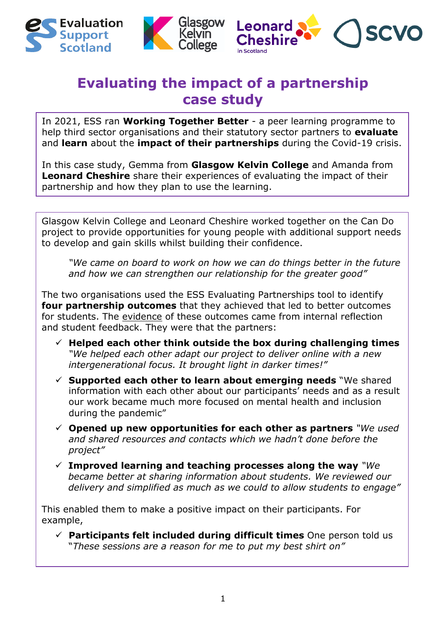

## **Evaluating the impact of a partnership case study**

In 2021, ESS ran **Working Together Better** - a peer learning programme to help third sector organisations and their statutory sector partners to **evaluate** and **learn** about the **impact of their partnerships** during the Covid-19 crisis.

In this case study, Gemma from **Glasgow Kelvin College** and Amanda from **Leonard Cheshire** share their experiences of evaluating the impact of their partnership and how they plan to use the learning.

Glasgow Kelvin College and Leonard Cheshire worked together on the Can Do project to provide opportunities for young people with additional support needs to develop and gain skills whilst building their confidence.

*"We came on board to work on how we can do things better in the future and how we can strengthen our relationship for the greater good"*

The two organisations used the ESS Evaluating Partnerships tool to identify **four partnership outcomes** that they achieved that led to better outcomes for students. The evidence of these outcomes came from internal reflection and student feedback. They were that the partners:

- ✓ **Helped each other think outside the box during challenging times**  *"We helped each other adapt our project to deliver online with a new intergenerational focus. It brought light in darker times!"*
- ✓ **Supported each other to learn about emerging needs** "We shared information with each other about our participants' needs and as a result our work became much more focused on mental health and inclusion during the pandemic"
- ✓ **Opened up new opportunities for each other as partners** *"We used and shared resources and contacts which we hadn't done before the project"*
- ✓ **Improved learning and teaching processes along the way** *"We became better at sharing information about students. We reviewed our delivery and simplified as much as we could to allow students to engage"*

This enabled them to make a positive impact on their participants. For example,

✓ **Participants felt included during difficult times** One person told us "*These sessions are a reason for me to put my best shirt on"*